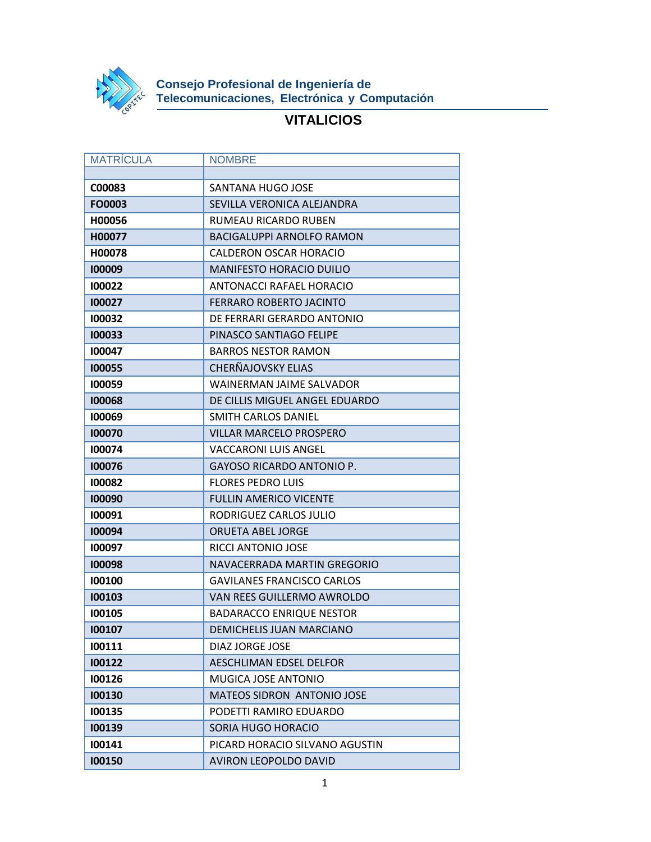

**Consejo Profesional de Ingeniería de Telecomunicaciones, Electrónica y Computación**

## **VITALICIOS**

| <b>MATRICULA</b> | <b>NOMBRE</b>                     |
|------------------|-----------------------------------|
|                  |                                   |
| C00083           | SANTANA HUGO JOSE                 |
| FO0003           | SEVILLA VERONICA ALEJANDRA        |
| H00056           | RUMEAU RICARDO RUBEN              |
| H00077           | <b>BACIGALUPPI ARNOLFO RAMON</b>  |
| H00078           | CALDERON OSCAR HORACIO            |
| 100009           | <b>MANIFESTO HORACIO DUILIO</b>   |
| 100022           | ANTONACCI RAFAEL HORACIO          |
| 100027           | <b>FERRARO ROBERTO JACINTO</b>    |
| 100032           | DE FERRARI GERARDO ANTONIO        |
| 100033           | PINASCO SANTIAGO FELIPE           |
| 100047           | <b>BARROS NESTOR RAMON</b>        |
| 100055           | CHERÑAJOVSKY ELIAS                |
| 100059           | WAINERMAN JAIME SALVADOR          |
| 100068           | DE CILLIS MIGUEL ANGEL EDUARDO    |
| 100069           | SMITH CARLOS DANIEL               |
| 100070           | <b>VILLAR MARCELO PROSPERO</b>    |
| 100074           | <b>VACCARONI LUIS ANGEL</b>       |
| 100076           | <b>GAYOSO RICARDO ANTONIO P.</b>  |
| 100082           | <b>FLORES PEDRO LUIS</b>          |
| 100090           | <b>FULLIN AMERICO VICENTE</b>     |
| 100091           | RODRIGUEZ CARLOS JULIO            |
| 100094           | <b>ORUETA ABEL JORGE</b>          |
| 100097           | RICCI ANTONIO JOSE                |
| 100098           | NAVACERRADA MARTIN GREGORIO       |
| 100100           | <b>GAVILANES FRANCISCO CARLOS</b> |
| 100103           | VAN REES GUILLERMO AWROLDO        |
| 100105           | <b>BADARACCO ENRIQUE NESTOR</b>   |
| 100107           | <b>DEMICHELIS JUAN MARCIANO</b>   |
| 100111           | DIAZ JORGE JOSE                   |
| 100122           | <b>AESCHLIMAN EDSEL DELFOR</b>    |
| 100126           | MUGICA JOSE ANTONIO               |
| 100130           | <b>MATEOS SIDRON ANTONIO JOSE</b> |
| 100135           | PODETTI RAMIRO EDUARDO            |
| 100139           | SORIA HUGO HORACIO                |
| 100141           | PICARD HORACIO SILVANO AGUSTIN    |
| 100150           | AVIRON LEOPOLDO DAVID             |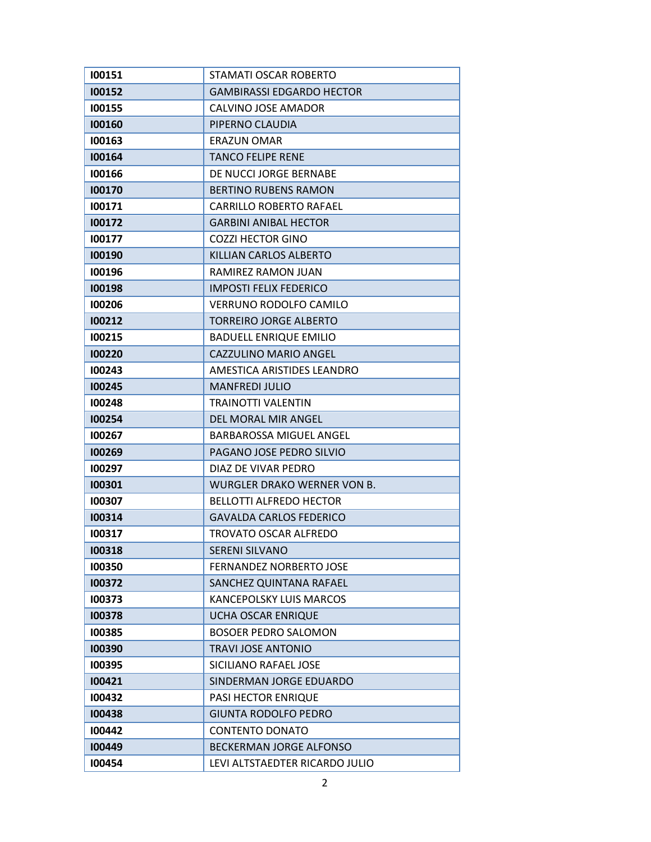| 100151 | STAMATI OSCAR ROBERTO            |
|--------|----------------------------------|
| 100152 | <b>GAMBIRASSI EDGARDO HECTOR</b> |
| 100155 | CALVINO JOSE AMADOR              |
| 100160 | PIPERNO CLAUDIA                  |
| 100163 | <b>ERAZUN OMAR</b>               |
| 100164 | <b>TANCO FELIPE RENE</b>         |
| 100166 | DE NUCCI JORGE BERNABE           |
| 100170 | <b>BERTINO RUBENS RAMON</b>      |
| 100171 | <b>CARRILLO ROBERTO RAFAEL</b>   |
| 100172 | <b>GARBINI ANIBAL HECTOR</b>     |
| 100177 | <b>COZZI HECTOR GINO</b>         |
| 100190 | KILLIAN CARLOS ALBERTO           |
| 100196 | RAMIREZ RAMON JUAN               |
| 100198 | <b>IMPOSTI FELIX FEDERICO</b>    |
| 100206 | VERRUNO RODOLFO CAMILO           |
| 100212 | <b>TORREIRO JORGE ALBERTO</b>    |
| 100215 | <b>BADUELL ENRIQUE EMILIO</b>    |
| 100220 | CAZZULINO MARIO ANGEL            |
| 100243 | AMESTICA ARISTIDES LEANDRO       |
| 100245 | <b>MANFREDI JULIO</b>            |
| 100248 | <b>TRAINOTTI VALENTIN</b>        |
| 100254 | DEL MORAL MIR ANGEL              |
| 100267 | BARBAROSSA MIGUEL ANGEL          |
| 100269 | PAGANO JOSE PEDRO SILVIO         |
| 100297 | DIAZ DE VIVAR PEDRO              |
| 100301 | WURGLER DRAKO WERNER VON B.      |
| 100307 | <b>BELLOTTI ALFREDO HECTOR</b>   |
| 100314 | <b>GAVALDA CARLOS FEDERICO</b>   |
| 100317 | TROVATO OSCAR ALFREDO            |
| 100318 | <b>SERENI SILVANO</b>            |
| 100350 | <b>FERNANDEZ NORBERTO JOSE</b>   |
| 100372 | SANCHEZ QUINTANA RAFAEL          |
| 100373 | <b>KANCEPOLSKY LUIS MARCOS</b>   |
| 100378 | UCHA OSCAR ENRIQUE               |
| 100385 | <b>BOSOER PEDRO SALOMON</b>      |
| 100390 | <b>TRAVI JOSE ANTONIO</b>        |
| 100395 | SICILIANO RAFAEL JOSE            |
| 100421 | SINDERMAN JORGE EDUARDO          |
| 100432 | PASI HECTOR ENRIQUE              |
| 100438 | <b>GIUNTA RODOLFO PEDRO</b>      |
| 100442 | <b>CONTENTO DONATO</b>           |
| 100449 | <b>BECKERMAN JORGE ALFONSO</b>   |
| 100454 | LEVI ALTSTAEDTER RICARDO JULIO   |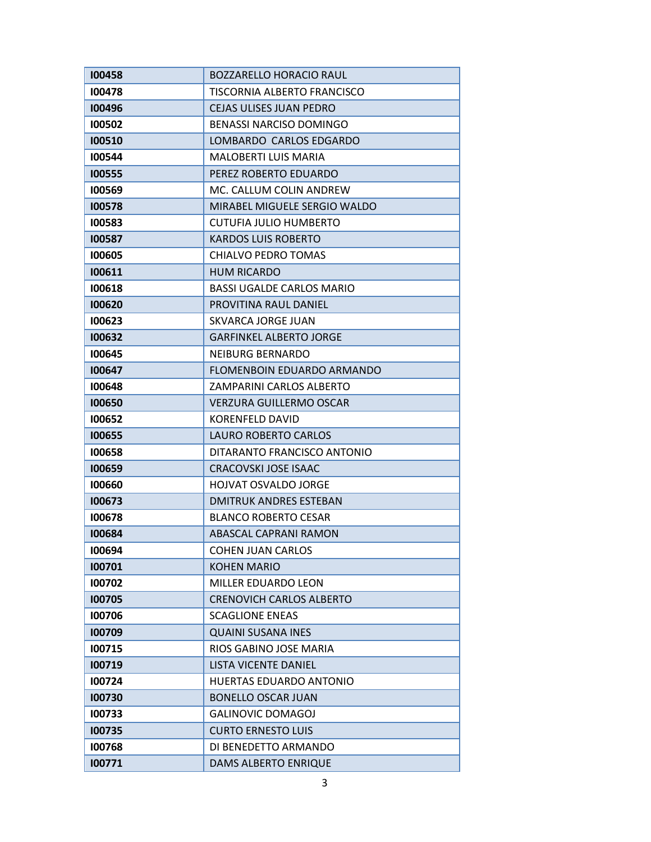| 100458 | <b>BOZZARELLO HORACIO RAUL</b>   |
|--------|----------------------------------|
| 100478 | TISCORNIA ALBERTO FRANCISCO      |
| 100496 | <b>CEJAS ULISES JUAN PEDRO</b>   |
| 100502 | <b>BENASSI NARCISO DOMINGO</b>   |
| 100510 | LOMBARDO CARLOS EDGARDO          |
| 100544 | <b>MALOBERTI LUIS MARIA</b>      |
| 100555 | PEREZ ROBERTO EDUARDO            |
| 100569 | MC. CALLUM COLIN ANDREW          |
| 100578 | MIRABEL MIGUELE SERGIO WALDO     |
| 100583 | CUTUFIA JULIO HUMBERTO           |
| 100587 | <b>KARDOS LUIS ROBERTO</b>       |
| 100605 | CHIALVO PEDRO TOMAS              |
| 100611 | <b>HUM RICARDO</b>               |
| 100618 | <b>BASSI UGALDE CARLOS MARIO</b> |
| 100620 | PROVITINA RAUL DANIEL            |
| 100623 | <b>SKVARCA JORGE JUAN</b>        |
| 100632 | <b>GARFINKEL ALBERTO JORGE</b>   |
| 100645 | NEIBURG BERNARDO                 |
| 100647 | FLOMENBOIN EDUARDO ARMANDO       |
| 100648 | ZAMPARINI CARLOS ALBERTO         |
| 100650 | <b>VERZURA GUILLERMO OSCAR</b>   |
| 100652 | KORENFELD DAVID                  |
| 100655 | <b>LAURO ROBERTO CARLOS</b>      |
| 100658 | DITARANTO FRANCISCO ANTONIO      |
| 100659 | <b>CRACOVSKI JOSE ISAAC</b>      |
| 100660 | <b>HOJVAT OSVALDO JORGE</b>      |
| 100673 | <b>DMITRUK ANDRES ESTEBAN</b>    |
| 100678 | <b>BLANCO ROBERTO CESAR</b>      |
| 100684 | ABASCAL CAPRANI RAMON            |
| 100694 | <b>COHEN JUAN CARLOS</b>         |
| 100701 | <b>KOHEN MARIO</b>               |
| 100702 | MILLER EDUARDO LEON              |
| 100705 | <b>CRENOVICH CARLOS ALBERTO</b>  |
| 100706 | <b>SCAGLIONE ENEAS</b>           |
| 100709 | <b>QUAINI SUSANA INES</b>        |
| 100715 | RIOS GABINO JOSE MARIA           |
| 100719 | <b>LISTA VICENTE DANIEL</b>      |
| 100724 | <b>HUERTAS EDUARDO ANTONIO</b>   |
| 100730 | <b>BONELLO OSCAR JUAN</b>        |
| 100733 | <b>GALINOVIC DOMAGOJ</b>         |
| 100735 | <b>CURTO ERNESTO LUIS</b>        |
| 100768 | DI BENEDETTO ARMANDO             |
| 100771 | <b>DAMS ALBERTO ENRIQUE</b>      |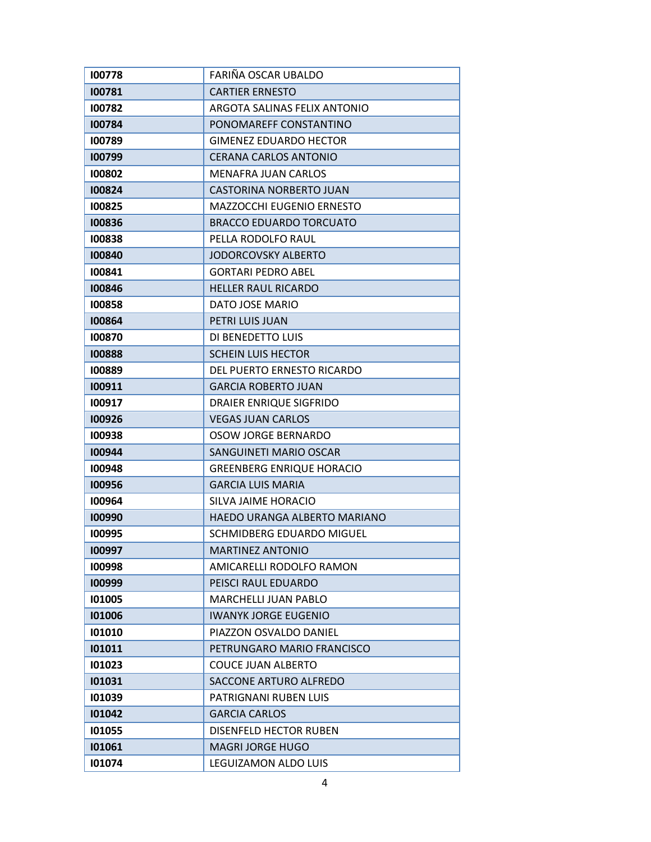| 100778 | FARIÑA OSCAR UBALDO              |
|--------|----------------------------------|
| 100781 | <b>CARTIER ERNESTO</b>           |
| 100782 | ARGOTA SALINAS FELIX ANTONIO     |
| 100784 | PONOMAREFF CONSTANTINO           |
| 100789 | <b>GIMENEZ EDUARDO HECTOR</b>    |
| 100799 | <b>CERANA CARLOS ANTONIO</b>     |
| 100802 | <b>MENAFRA JUAN CARLOS</b>       |
| 100824 | CASTORINA NORBERTO JUAN          |
| 100825 | <b>MAZZOCCHI EUGENIO ERNESTO</b> |
| 100836 | <b>BRACCO EDUARDO TORCUATO</b>   |
| 100838 | PELLA RODOLFO RAUL               |
| 100840 | <b>JODORCOVSKY ALBERTO</b>       |
| 100841 | <b>GORTARI PEDRO ABEL</b>        |
| 100846 | <b>HELLER RAUL RICARDO</b>       |
| 100858 | DATO JOSE MARIO                  |
| 100864 | PETRI LUIS JUAN                  |
| 100870 | DI BENEDETTO LUIS                |
| 100888 | <b>SCHEIN LUIS HECTOR</b>        |
| 100889 | DEL PUERTO ERNESTO RICARDO       |
| 100911 | <b>GARCIA ROBERTO JUAN</b>       |
| 100917 | DRAIER ENRIQUE SIGFRIDO          |
| 100926 | <b>VEGAS JUAN CARLOS</b>         |
| 100938 | <b>OSOW JORGE BERNARDO</b>       |
| 100944 | SANGUINETI MARIO OSCAR           |
| 100948 | <b>GREENBERG ENRIQUE HORACIO</b> |
| 100956 | <b>GARCIA LUIS MARIA</b>         |
| 100964 | SILVA JAIME HORACIO              |
| 100990 | HAEDO URANGA ALBERTO MARIANO     |
| 100995 | SCHMIDBERG EDUARDO MIGUEL        |
| 100997 | <b>MARTINEZ ANTONIO</b>          |
| 100998 | AMICARELLI RODOLFO RAMON         |
| 100999 | PEISCI RAUL EDUARDO              |
| 101005 | <b>MARCHELLI JUAN PABLO</b>      |
| 101006 | <b>IWANYK JORGE EUGENIO</b>      |
| 101010 | PIAZZON OSVALDO DANIEL           |
| 101011 | PETRUNGARO MARIO FRANCISCO       |
| 101023 | <b>COUCE JUAN ALBERTO</b>        |
| 101031 | SACCONE ARTURO ALFREDO           |
| 101039 | PATRIGNANI RUBEN LUIS            |
| 101042 | <b>GARCIA CARLOS</b>             |
| 101055 | DISENFELD HECTOR RUBEN           |
| 101061 | <b>MAGRI JORGE HUGO</b>          |
| 101074 | LEGUIZAMON ALDO LUIS             |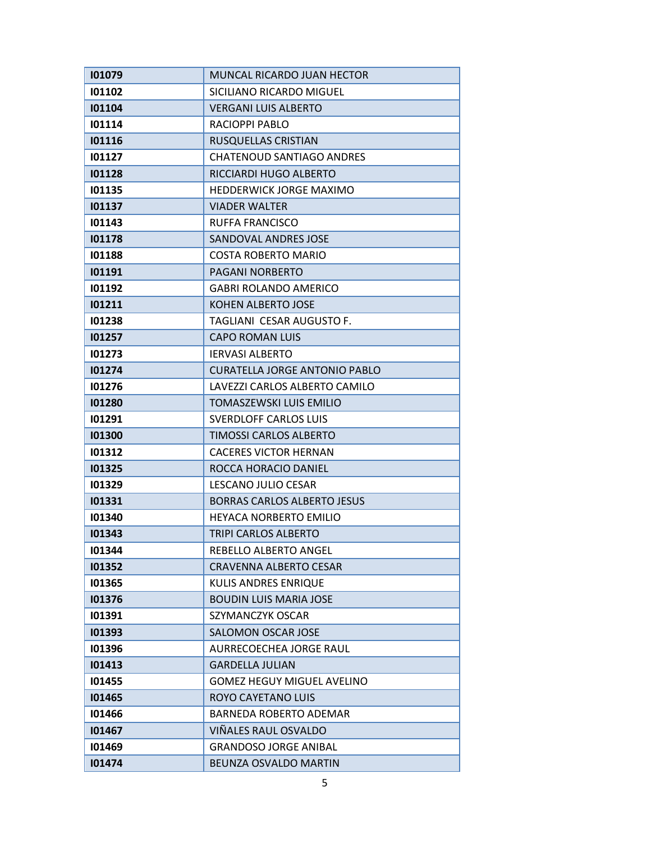| 101079 | MUNCAL RICARDO JUAN HECTOR           |
|--------|--------------------------------------|
| 101102 | SICILIANO RICARDO MIGUEL             |
| 101104 | <b>VERGANI LUIS ALBERTO</b>          |
| 101114 | RACIOPPI PABLO                       |
| 101116 | RUSQUELLAS CRISTIAN                  |
| 101127 | <b>CHATENOUD SANTIAGO ANDRES</b>     |
| 101128 | RICCIARDI HUGO ALBERTO               |
| 101135 | <b>HEDDERWICK JORGE MAXIMO</b>       |
| 101137 | <b>VIADER WALTER</b>                 |
| 101143 | <b>RUFFA FRANCISCO</b>               |
| 101178 | SANDOVAL ANDRES JOSE                 |
| 101188 | <b>COSTA ROBERTO MARIO</b>           |
| 101191 | <b>PAGANI NORBERTO</b>               |
| 101192 | <b>GABRI ROLANDO AMERICO</b>         |
| 101211 | KOHEN ALBERTO JOSE                   |
| 101238 | TAGLIANI CESAR AUGUSTO F.            |
| 101257 | <b>CAPO ROMAN LUIS</b>               |
| 101273 | <b>IERVASI ALBERTO</b>               |
| 101274 | <b>CURATELLA JORGE ANTONIO PABLO</b> |
| 101276 | LAVEZZI CARLOS ALBERTO CAMILO        |
| 101280 | <b>TOMASZEWSKI LUIS EMILIO</b>       |
| 101291 | <b>SVERDLOFF CARLOS LUIS</b>         |
| 101300 | <b>TIMOSSI CARLOS ALBERTO</b>        |
| 101312 | <b>CACERES VICTOR HERNAN</b>         |
| 101325 | ROCCA HORACIO DANIEL                 |
| 101329 | LESCANO JULIO CESAR                  |
| 101331 | <b>BORRAS CARLOS ALBERTO JESUS</b>   |
| 101340 | <b>HEYACA NORBERTO EMILIO</b>        |
| 101343 | TRIPI CARLOS ALBERTO                 |
| 101344 | REBELLO ALBERTO ANGEL                |
| 101352 | CRAVENNA ALBERTO CESAR               |
| 101365 | KULIS ANDRES ENRIQUE                 |
| 101376 | <b>BOUDIN LUIS MARIA JOSE</b>        |
| 101391 | SZYMANCZYK OSCAR                     |
| 101393 | <b>SALOMON OSCAR JOSE</b>            |
| 101396 | AURRECOECHEA JORGE RAUL              |
| 101413 | <b>GARDELLA JULIAN</b>               |
| 101455 | <b>GOMEZ HEGUY MIGUEL AVELINO</b>    |
| 101465 | ROYO CAYETANO LUIS                   |
| 101466 | <b>BARNEDA ROBERTO ADEMAR</b>        |
| 101467 | VIÑALES RAUL OSVALDO                 |
| 101469 | <b>GRANDOSO JORGE ANIBAL</b>         |
| 101474 | BEUNZA OSVALDO MARTIN                |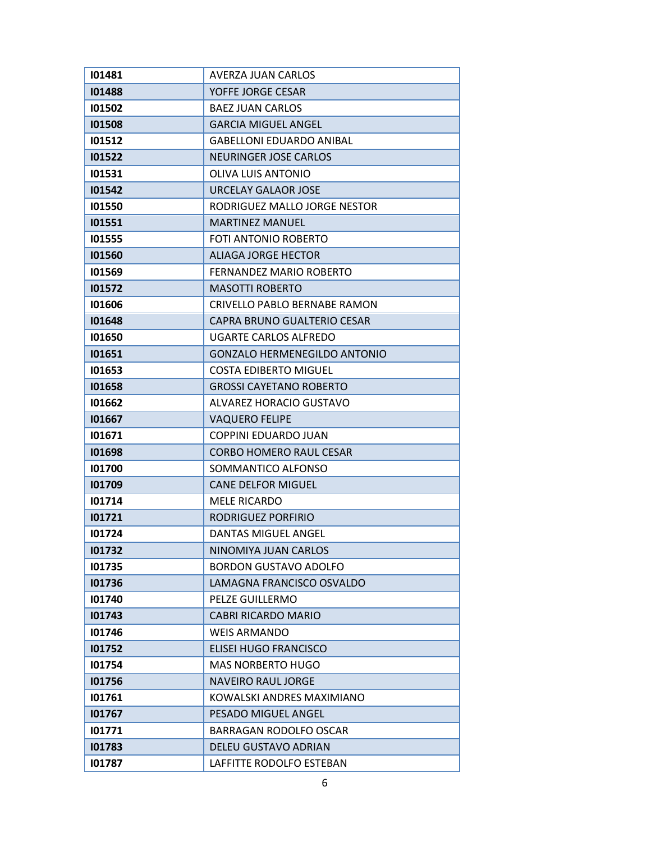| 101481 | AVERZA JUAN CARLOS                  |
|--------|-------------------------------------|
| 101488 | YOFFE JORGE CESAR                   |
| 101502 | <b>BAEZ JUAN CARLOS</b>             |
| 101508 | <b>GARCIA MIGUEL ANGEL</b>          |
| 101512 | <b>GABELLONI EDUARDO ANIBAL</b>     |
| 101522 | <b>NEURINGER JOSE CARLOS</b>        |
| 101531 | <b>OLIVA LUIS ANTONIO</b>           |
| 101542 | URCELAY GALAOR JOSE                 |
| 101550 | RODRIGUEZ MALLO JORGE NESTOR        |
| 101551 | <b>MARTINEZ MANUEL</b>              |
| 101555 | FOTI ANTONIO ROBERTO                |
| 101560 | ALIAGA JORGE HECTOR                 |
| 101569 | FERNANDEZ MARIO ROBERTO             |
| 101572 | <b>MASOTTI ROBERTO</b>              |
| 101606 | CRIVELLO PABLO BERNABE RAMON        |
| 101648 | CAPRA BRUNO GUALTERIO CESAR         |
| 101650 | UGARTE CARLOS ALFREDO               |
| 101651 | <b>GONZALO HERMENEGILDO ANTONIO</b> |
| 101653 | <b>COSTA EDIBERTO MIGUEL</b>        |
| 101658 | <b>GROSSI CAYETANO ROBERTO</b>      |
| 101662 | ALVAREZ HORACIO GUSTAVO             |
| 101667 | <b>VAQUERO FELIPE</b>               |
| 101671 | <b>COPPINI EDUARDO JUAN</b>         |
| 101698 | <b>CORBO HOMERO RAUL CESAR</b>      |
| 101700 | SOMMANTICO ALFONSO                  |
| 101709 | <b>CANE DELFOR MIGUEL</b>           |
| 101714 | <b>MELE RICARDO</b>                 |
| 101721 | RODRIGUEZ PORFIRIO                  |
| 101724 | <b>DANTAS MIGUEL ANGEL</b>          |
| 101732 | NINOMIYA JUAN CARLOS                |
| 101735 | <b>BORDON GUSTAVO ADOLFO</b>        |
| 101736 | LAMAGNA FRANCISCO OSVALDO           |
| 101740 | PELZE GUILLERMO                     |
| 101743 | <b>CABRI RICARDO MARIO</b>          |
| 101746 | <b>WEIS ARMANDO</b>                 |
| 101752 | <b>ELISEI HUGO FRANCISCO</b>        |
| 101754 | <b>MAS NORBERTO HUGO</b>            |
| 101756 | <b>NAVEIRO RAUL JORGE</b>           |
| 101761 | KOWALSKI ANDRES MAXIMIANO           |
| 101767 | <b>PESADO MIGUEL ANGEL</b>          |
| 101771 | <b>BARRAGAN RODOLFO OSCAR</b>       |
| 101783 | DELEU GUSTAVO ADRIAN                |
| 101787 | LAFFITTE RODOLFO ESTEBAN            |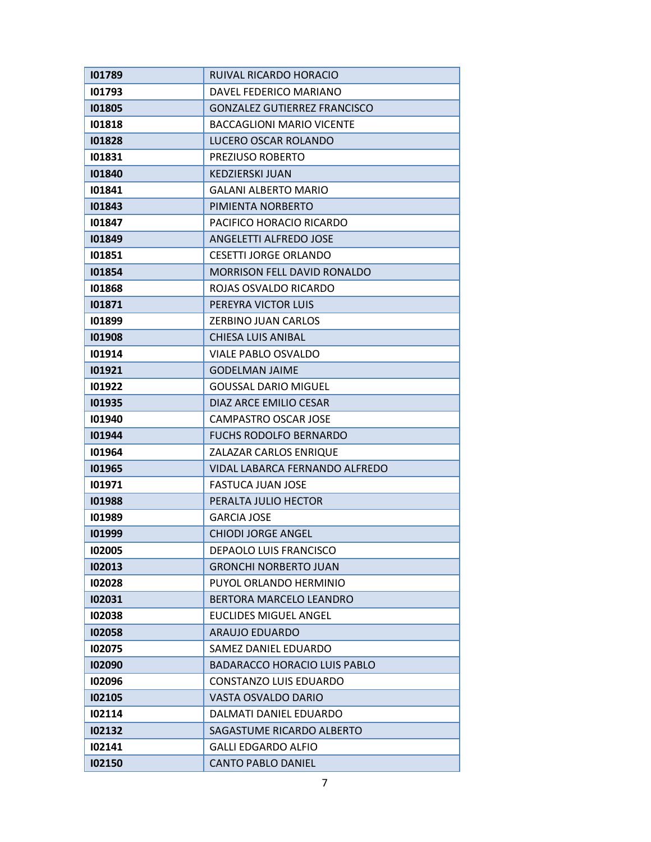| 101789 | RUIVAL RICARDO HORACIO              |
|--------|-------------------------------------|
| 101793 | DAVEL FEDERICO MARIANO              |
| 101805 | <b>GONZALEZ GUTIERREZ FRANCISCO</b> |
| 101818 | <b>BACCAGLIONI MARIO VICENTE</b>    |
| 101828 | LUCERO OSCAR ROLANDO                |
| 101831 | PREZIUSO ROBERTO                    |
| 101840 | <b>KEDZIERSKI JUAN</b>              |
| 101841 | <b>GALANI ALBERTO MARIO</b>         |
| 101843 | PIMIENTA NORBERTO                   |
| 101847 | PACIFICO HORACIO RICARDO            |
| 101849 | ANGELETTI ALFREDO JOSE              |
| 101851 | <b>CESETTI JORGE ORLANDO</b>        |
| 101854 | MORRISON FELL DAVID RONALDO         |
| 101868 | ROJAS OSVALDO RICARDO               |
| 101871 | PEREYRA VICTOR LUIS                 |
| 101899 | ZERBINO JUAN CARLOS                 |
| 101908 | <b>CHIESA LUIS ANIBAL</b>           |
| 101914 | VIALE PABLO OSVALDO                 |
| 101921 | <b>GODELMAN JAIME</b>               |
| 101922 | <b>GOUSSAL DARIO MIGUEL</b>         |
| 101935 | DIAZ ARCE EMILIO CESAR              |
| 101940 | CAMPASTRO OSCAR JOSE                |
| 101944 | <b>FUCHS RODOLFO BERNARDO</b>       |
| 101964 | ZALAZAR CARLOS ENRIQUE              |
| 101965 | VIDAL LABARCA FERNANDO ALFREDO      |
| 101971 | <b>FASTUCA JUAN JOSE</b>            |
| 101988 | PERALTA JULIO HECTOR                |
| 101989 | <b>GARCIA JOSE</b>                  |
| 101999 | <b>CHIODI JORGE ANGEL</b>           |
| 102005 | <b>DEPAOLO LUIS FRANCISCO</b>       |
| 102013 | <b>GRONCHI NORBERTO JUAN</b>        |
| 102028 | PUYOL ORLANDO HERMINIO              |
| 102031 | <b>BERTORA MARCELO LEANDRO</b>      |
| 102038 | <b>EUCLIDES MIGUEL ANGEL</b>        |
| 102058 | ARAUJO EDUARDO                      |
| 102075 | SAMEZ DANIEL EDUARDO                |
| 102090 | <b>BADARACCO HORACIO LUIS PABLO</b> |
| 102096 | <b>CONSTANZO LUIS EDUARDO</b>       |
| 102105 | VASTA OSVALDO DARIO                 |
| 102114 | DALMATI DANIEL EDUARDO              |
| 102132 | SAGASTUME RICARDO ALBERTO           |
| 102141 | <b>GALLI EDGARDO ALFIO</b>          |
| 102150 | <b>CANTO PABLO DANIEL</b>           |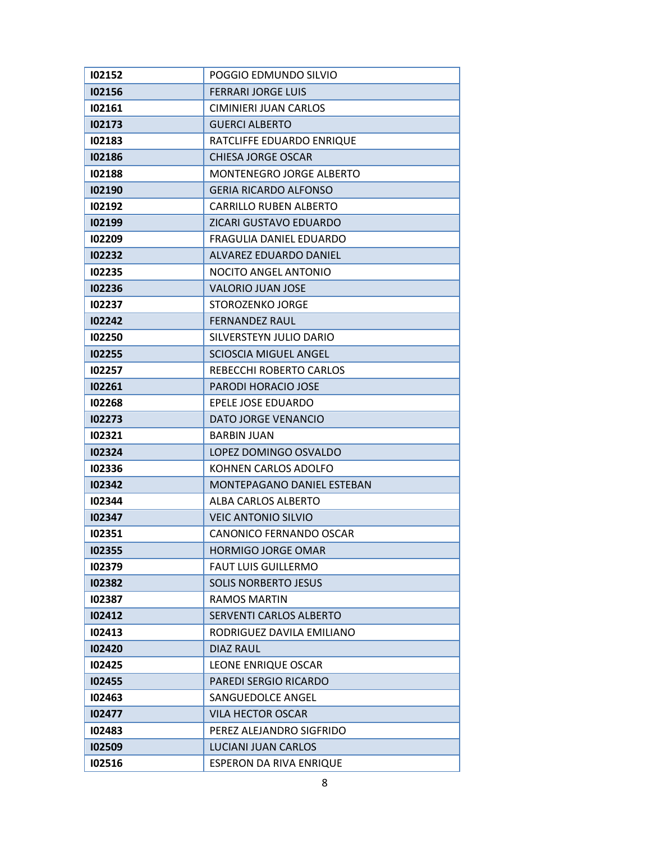| 102152 | POGGIO EDMUNDO SILVIO           |
|--------|---------------------------------|
| 102156 | <b>FERRARI JORGE LUIS</b>       |
| 102161 | CIMINIERI JUAN CARLOS           |
| 102173 | <b>GUERCI ALBERTO</b>           |
| 102183 | RATCLIFFE EDUARDO ENRIQUE       |
| 102186 | CHIESA JORGE OSCAR              |
| 102188 | <b>MONTENEGRO JORGE ALBERTO</b> |
| 102190 | <b>GERIA RICARDO ALFONSO</b>    |
| 102192 | <b>CARRILLO RUBEN ALBERTO</b>   |
| 102199 | ZICARI GUSTAVO EDUARDO          |
| 102209 | FRAGULIA DANIEL EDUARDO         |
| 102232 | ALVAREZ EDUARDO DANIEL          |
| 102235 | <b>NOCITO ANGEL ANTONIO</b>     |
| 102236 | <b>VALORIO JUAN JOSE</b>        |
| 102237 | STOROZENKO JORGE                |
| 102242 | <b>FERNANDEZ RAUL</b>           |
| 102250 | SILVERSTEYN JULIO DARIO         |
| 102255 | <b>SCIOSCIA MIGUEL ANGEL</b>    |
| 102257 | REBECCHI ROBERTO CARLOS         |
| 102261 | PARODI HORACIO JOSE             |
| 102268 | EPELE JOSE EDUARDO              |
| 102273 | DATO JORGE VENANCIO             |
| 102321 | <b>BARBIN JUAN</b>              |
| 102324 | LOPEZ DOMINGO OSVALDO           |
| 102336 | KOHNEN CARLOS ADOLFO            |
| 102342 | MONTEPAGANO DANIEL ESTEBAN      |
| 102344 | ALBA CARLOS ALBERTO             |
| 102347 | <b>VEIC ANTONIO SILVIO</b>      |
| 102351 | CANONICO FERNANDO OSCAR         |
| 102355 | <b>HORMIGO JORGE OMAR</b>       |
| 102379 | <b>FAUT LUIS GUILLERMO</b>      |
| 102382 | <b>SOLIS NORBERTO JESUS</b>     |
| 102387 | <b>RAMOS MARTIN</b>             |
| 102412 | <b>SERVENTI CARLOS ALBERTO</b>  |
| 102413 | RODRIGUEZ DAVILA EMILIANO       |
| 102420 | DIAZ RAUL                       |
| 102425 | LEONE ENRIQUE OSCAR             |
| 102455 | <b>PAREDI SERGIO RICARDO</b>    |
| 102463 | SANGUEDOLCE ANGEL               |
| 102477 | <b>VILA HECTOR OSCAR</b>        |
| 102483 | PEREZ ALEJANDRO SIGFRIDO        |
| 102509 | LUCIANI JUAN CARLOS             |
| 102516 | ESPERON DA RIVA ENRIQUE         |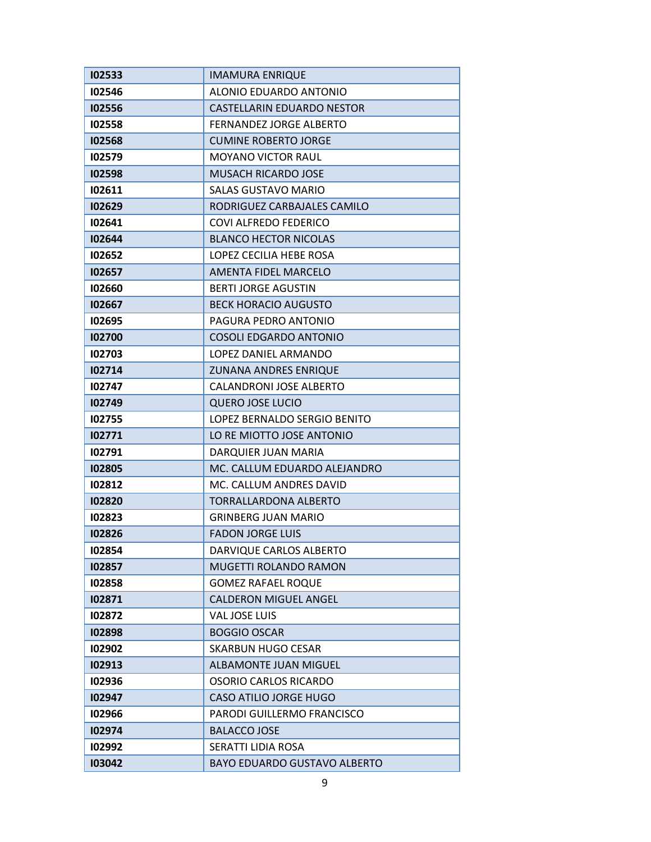| 102533 | <b>IMAMURA ENRIQUE</b>              |
|--------|-------------------------------------|
| 102546 | ALONIO EDUARDO ANTONIO              |
| 102556 | CASTELLARIN EDUARDO NESTOR          |
| 102558 | <b>FERNANDEZ JORGE ALBERTO</b>      |
| 102568 | <b>CUMINE ROBERTO JORGE</b>         |
| 102579 | <b>MOYANO VICTOR RAUL</b>           |
| 102598 | MUSACH RICARDO JOSE                 |
| 102611 | <b>SALAS GUSTAVO MARIO</b>          |
| 102629 | RODRIGUEZ CARBAJALES CAMILO         |
| 102641 | <b>COVI ALFREDO FEDERICO</b>        |
| 102644 | <b>BLANCO HECTOR NICOLAS</b>        |
| 102652 | LOPEZ CECILIA HEBE ROSA             |
| 102657 | AMENTA FIDEL MARCELO                |
| 102660 | <b>BERTI JORGE AGUSTIN</b>          |
| 102667 | <b>BECK HORACIO AUGUSTO</b>         |
| 102695 | PAGURA PEDRO ANTONIO                |
| 102700 | <b>COSOLI EDGARDO ANTONIO</b>       |
| 102703 | LOPEZ DANIEL ARMANDO                |
| 102714 | <b>ZUNANA ANDRES ENRIQUE</b>        |
| 102747 | CALANDRONI JOSE ALBERTO             |
| 102749 | <b>QUERO JOSE LUCIO</b>             |
| 102755 | LOPEZ BERNALDO SERGIO BENITO        |
| 102771 | LO RE MIOTTO JOSE ANTONIO           |
| 102791 | DARQUIER JUAN MARIA                 |
| 102805 | MC. CALLUM EDUARDO ALEJANDRO        |
| 102812 | MC. CALLUM ANDRES DAVID             |
| 102820 | TORRALLARDONA ALBERTO               |
| 102823 | <b>GRINBERG JUAN MARIO</b>          |
| 102826 | <b>FADON JORGE LUIS</b>             |
| 102854 | DARVIQUE CARLOS ALBERTO             |
| 102857 | MUGETTI ROLANDO RAMON               |
| 102858 | <b>GOMEZ RAFAEL ROQUE</b>           |
| 102871 | <b>CALDERON MIGUEL ANGEL</b>        |
| 102872 | VAL JOSE LUIS                       |
| 102898 | <b>BOGGIO OSCAR</b>                 |
| 102902 | <b>SKARBUN HUGO CESAR</b>           |
| 102913 | <b>ALBAMONTE JUAN MIGUEL</b>        |
| 102936 | OSORIO CARLOS RICARDO               |
| 102947 | <b>CASO ATILIO JORGE HUGO</b>       |
| 102966 | PARODI GUILLERMO FRANCISCO          |
| 102974 | <b>BALACCO JOSE</b>                 |
| 102992 | SERATTI LIDIA ROSA                  |
| 103042 | <b>BAYO EDUARDO GUSTAVO ALBERTO</b> |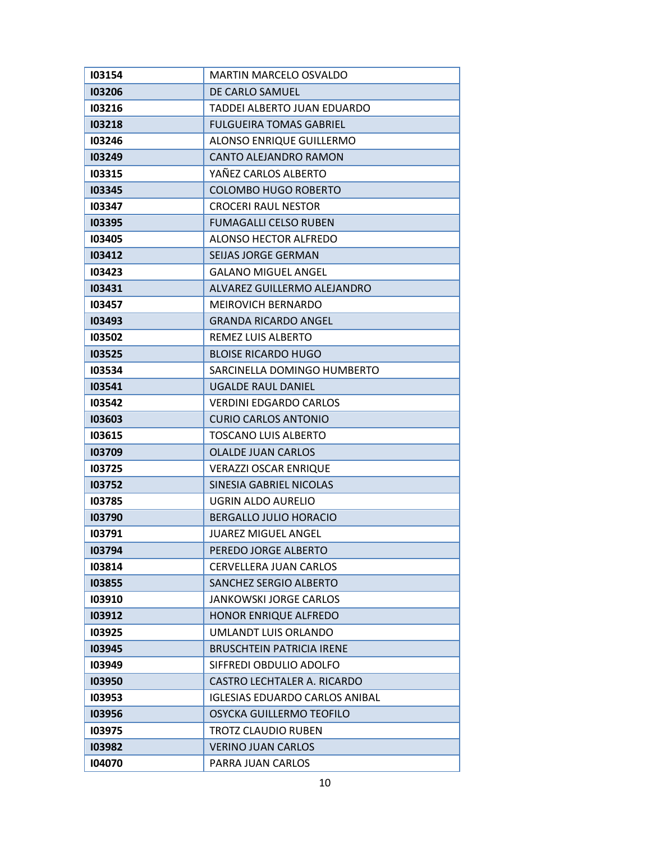| 103154 | <b>MARTIN MARCELO OSVALDO</b>         |
|--------|---------------------------------------|
| 103206 | DE CARLO SAMUEL                       |
| 103216 | TADDEI ALBERTO JUAN EDUARDO           |
| 103218 | <b>FULGUEIRA TOMAS GABRIEL</b>        |
| 103246 | <b>ALONSO ENRIQUE GUILLERMO</b>       |
| 103249 | <b>CANTO ALEJANDRO RAMON</b>          |
| 103315 | YAÑEZ CARLOS ALBERTO                  |
| 103345 | <b>COLOMBO HUGO ROBERTO</b>           |
| 103347 | <b>CROCERI RAUL NESTOR</b>            |
| 103395 | <b>FUMAGALLI CELSO RUBEN</b>          |
| 103405 | ALONSO HECTOR ALFREDO                 |
| 103412 | SEIJAS JORGE GERMAN                   |
| 103423 | <b>GALANO MIGUEL ANGEL</b>            |
| 103431 | ALVAREZ GUILLERMO ALEJANDRO           |
| 103457 | <b>MEIROVICH BERNARDO</b>             |
| 103493 | <b>GRANDA RICARDO ANGEL</b>           |
| 103502 | REMEZ LUIS ALBERTO                    |
| 103525 | <b>BLOISE RICARDO HUGO</b>            |
| 103534 | SARCINELLA DOMINGO HUMBERTO           |
| 103541 | <b>UGALDE RAUL DANIEL</b>             |
| 103542 | <b>VERDINI EDGARDO CARLOS</b>         |
| 103603 | <b>CURIO CARLOS ANTONIO</b>           |
| 103615 | <b>TOSCANO LUIS ALBERTO</b>           |
| 103709 | <b>OLALDE JUAN CARLOS</b>             |
| 103725 | <b>VERAZZI OSCAR ENRIQUE</b>          |
| 103752 | <b>SINESIA GABRIEL NICOLAS</b>        |
| 103785 | UGRIN ALDO AURELIO                    |
| 103790 | <b>BERGALLO JULIO HORACIO</b>         |
| 103791 | <b>JUAREZ MIGUEL ANGEL</b>            |
| 103794 | PEREDO JORGE ALBERTO                  |
| 103814 | <b>CERVELLERA JUAN CARLOS</b>         |
| 103855 | <b>SANCHEZ SERGIO ALBERTO</b>         |
| 103910 | <b>JANKOWSKI JORGE CARLOS</b>         |
| 103912 | HONOR ENRIQUE ALFREDO                 |
| 103925 | UMLANDT LUIS ORLANDO                  |
| 103945 | <b>BRUSCHTEIN PATRICIA IRENE</b>      |
| 103949 | SIFFREDI OBDULIO ADOLFO               |
| 103950 | CASTRO LECHTALER A. RICARDO           |
| 103953 | <b>IGLESIAS EDUARDO CARLOS ANIBAL</b> |
| 103956 | OSYCKA GUILLERMO TEOFILO              |
| 103975 | <b>TROTZ CLAUDIO RUBEN</b>            |
| 103982 | <b>VERINO JUAN CARLOS</b>             |
| 104070 | PARRA JUAN CARLOS                     |